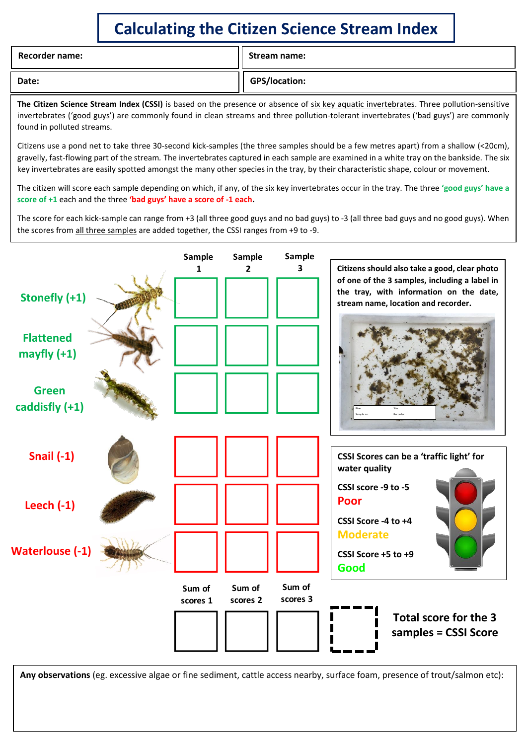## **Calculating the Citizen Science Stream Index**

| <b>Recorder name:</b> | Stream name:  |
|-----------------------|---------------|
| Date:                 | GPS/location: |

**The Citizen Science Stream Index (CSSI)** is based on the presence or absence of six key aquatic invertebrates. Three pollution-sensitive invertebrates ('good guys') are commonly found in clean streams and three pollution-tolerant invertebrates ('bad guys') are commonly found in polluted streams.

Citizens use a pond net to take three 30-second kick-samples (the three samples should be a few metres apart) from a shallow (<20cm), gravelly, fast-flowing part of the stream*.* The invertebrates captured in each sample are examined in a white tray on the bankside. The six key invertebrates are easily spotted amongst the many other species in the tray, by their characteristic shape, colour or movement.

The citizen will score each sample depending on which, if any, of the six key invertebrates occur in the tray. The three **'good guys' have a score of +1** each and the three **'bad guys' have a score of -1 each.**

The score for each kick-sample can range from +3 (all three good guys and no bad guys) to -3 (all three bad guys and no good guys). When the scores from all three samples are added together, the CSSI ranges from +9 to -9.



**Any observations** (eg. excessive algae or fine sediment, cattle access nearby, surface foam, presence of trout/salmon etc):